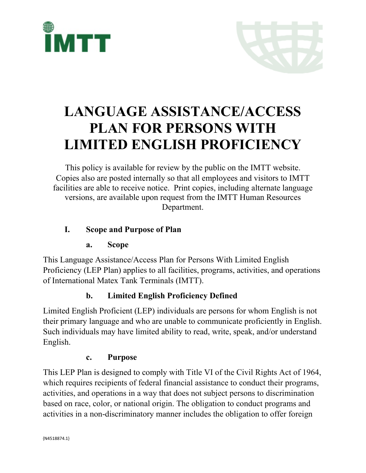



# **LANGUAGE ASSISTANCE/ACCESS PLAN FOR PERSONS WITH LIMITED ENGLISH PROFICIENCY**

This policy is available for review by the public on the IMTT website. Copies also are posted internally so that all employees and visitors to IMTT facilities are able to receive notice. Print copies, including alternate language versions, are available upon request from the IMTT Human Resources Department.

## **I. Scope and Purpose of Plan**

#### **a. Scope**

This Language Assistance/Access Plan for Persons With Limited English Proficiency (LEP Plan) applies to all facilities, programs, activities, and operations of International Matex Tank Terminals (IMTT).

# **b. Limited English Proficiency Defined**

Limited English Proficient (LEP) individuals are persons for whom English is not their primary language and who are unable to communicate proficiently in English. Such individuals may have limited ability to read, write, speak, and/or understand English.

#### **c. Purpose**

This LEP Plan is designed to comply with Title VI of the Civil Rights Act of 1964, which requires recipients of federal financial assistance to conduct their programs, activities, and operations in a way that does not subject persons to discrimination based on race, color, or national origin. The obligation to conduct programs and activities in a non-discriminatory manner includes the obligation to offer foreign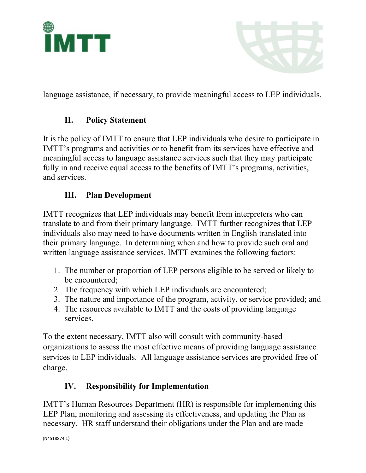



language assistance, if necessary, to provide meaningful access to LEP individuals.

## **II. Policy Statement**

It is the policy of IMTT to ensure that LEP individuals who desire to participate in IMTT's programs and activities or to benefit from its services have effective and meaningful access to language assistance services such that they may participate fully in and receive equal access to the benefits of IMTT's programs, activities, and services.

## **III. Plan Development**

IMTT recognizes that LEP individuals may benefit from interpreters who can translate to and from their primary language. IMTT further recognizes that LEP individuals also may need to have documents written in English translated into their primary language. In determining when and how to provide such oral and written language assistance services, IMTT examines the following factors:

- 1. The number or proportion of LEP persons eligible to be served or likely to be encountered;
- 2. The frequency with which LEP individuals are encountered;
- 3. The nature and importance of the program, activity, or service provided; and
- 4. The resources available to IMTT and the costs of providing language services.

To the extent necessary, IMTT also will consult with community-based organizations to assess the most effective means of providing language assistance services to LEP individuals. All language assistance services are provided free of charge.

# **IV. Responsibility for Implementation**

IMTT's Human Resources Department (HR) is responsible for implementing this LEP Plan, monitoring and assessing its effectiveness, and updating the Plan as necessary. HR staff understand their obligations under the Plan and are made